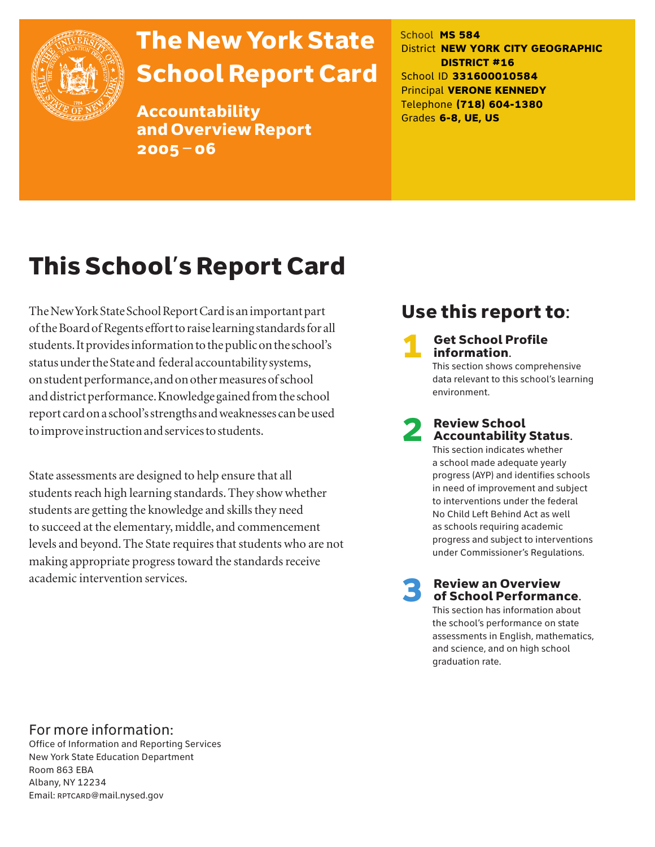

# The New York State School Report Card

Accountability and Overview Report 2005–06

School **MS 584** District **NEW YORK CITY GEOGRAPHIC DISTRICT #16** School ID **331600010584** Principal **VERONE KENNEDY** Telephone **(718) 604-1380** Grades **6-8, UE, US**

# This School's Report Card

The New York State School Report Card is an important part of the Board of Regents effort to raise learning standards for all students. It provides information to the public on the school's status under the State and federal accountability systems, on student performance, and on other measures of school and district performance. Knowledge gained from the school report card on a school's strengths and weaknesses can be used to improve instruction and services to students.

State assessments are designed to help ensure that all students reach high learning standards. They show whether students are getting the knowledge and skills they need to succeed at the elementary, middle, and commencement levels and beyond. The State requires that students who are not making appropriate progress toward the standards receive academic intervention services.

## Use this report to:

**Get School Profile** information. This section shows comprehensive

data relevant to this school's learning environment.

# 2 Review School Accountability Status.

This section indicates whether a school made adequate yearly progress (AYP) and identifies schools in need of improvement and subject to interventions under the federal No Child Left Behind Act as well as schools requiring academic progress and subject to interventions under Commissioner's Regulations.

**Review an Overview** of School Performance.

This section has information about the school's performance on state assessments in English, mathematics, and science, and on high school graduation rate.

### For more information:

Office of Information and Reporting Services New York State Education Department Room 863 EBA Albany, NY 12234 Email: RPTCARD@mail.nysed.gov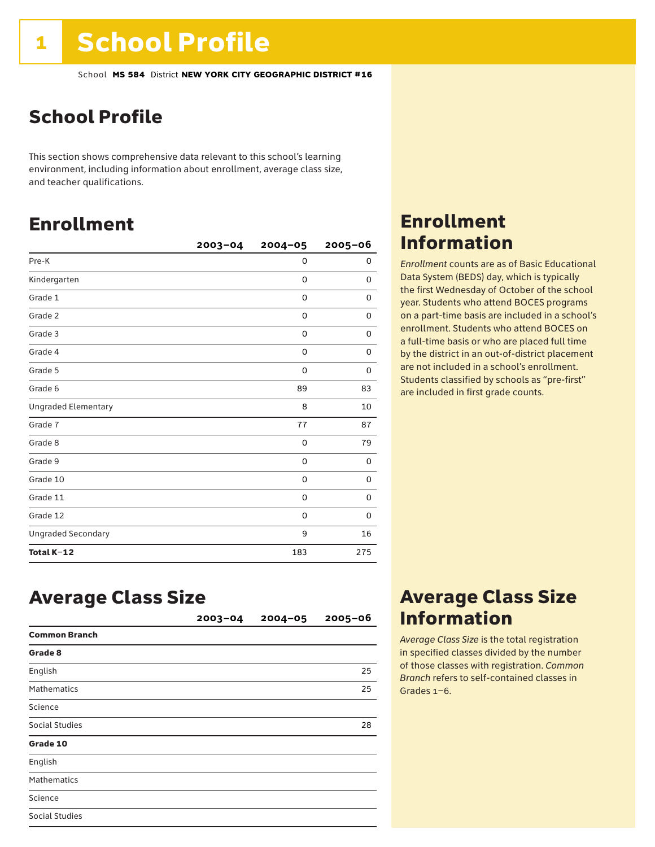## School Profile

This section shows comprehensive data relevant to this school's learning environment, including information about enrollment, average class size, and teacher qualifications.

## Enrollment

|                            | $2003 - 04$ | $2004 - 05$ | $2005 - 06$ |
|----------------------------|-------------|-------------|-------------|
| Pre-K                      |             | $\mathbf 0$ | 0           |
| Kindergarten               |             | 0           | 0           |
| Grade 1                    |             | 0           | 0           |
| Grade 2                    |             | $\mathbf 0$ | 0           |
| Grade 3                    |             | 0           | 0           |
| Grade 4                    |             | 0           | 0           |
| Grade 5                    |             | 0           | 0           |
| Grade 6                    |             | 89          | 83          |
| <b>Ungraded Elementary</b> |             | 8           | 10          |
| Grade 7                    |             | 77          | 87          |
| Grade 8                    |             | 0           | 79          |
| Grade 9                    |             | 0           | 0           |
| Grade 10                   |             | 0           | 0           |
| Grade 11                   |             | 0           | 0           |
| Grade 12                   |             | 0           | 0           |
| <b>Ungraded Secondary</b>  |             | 9           | 16          |
| Total K-12                 |             | 183         | 275         |

## Enrollment Information

*Enrollment* counts are as of Basic Educational Data System (BEDS) day, which is typically the first Wednesday of October of the school year. Students who attend BOCES programs on a part-time basis are included in a school's enrollment. Students who attend BOCES on a full-time basis or who are placed full time by the district in an out-of-district placement are not included in a school's enrollment. Students classified by schools as "pre-first" are included in first grade counts.

### Average Class Size

|                       | $2003 - 04$ | $2004 - 05$ | $2005 - 06$ |
|-----------------------|-------------|-------------|-------------|
| <b>Common Branch</b>  |             |             |             |
| Grade 8               |             |             |             |
| English               |             |             | 25          |
| <b>Mathematics</b>    |             |             | 25          |
| Science               |             |             |             |
| Social Studies        |             |             | 28          |
| Grade 10              |             |             |             |
| English               |             |             |             |
| <b>Mathematics</b>    |             |             |             |
| Science               |             |             |             |
| <b>Social Studies</b> |             |             |             |

### Average Class Size Information

*Average Class Size* is the total registration in specified classes divided by the number of those classes with registration. *Common Branch* refers to self-contained classes in Grades 1–6.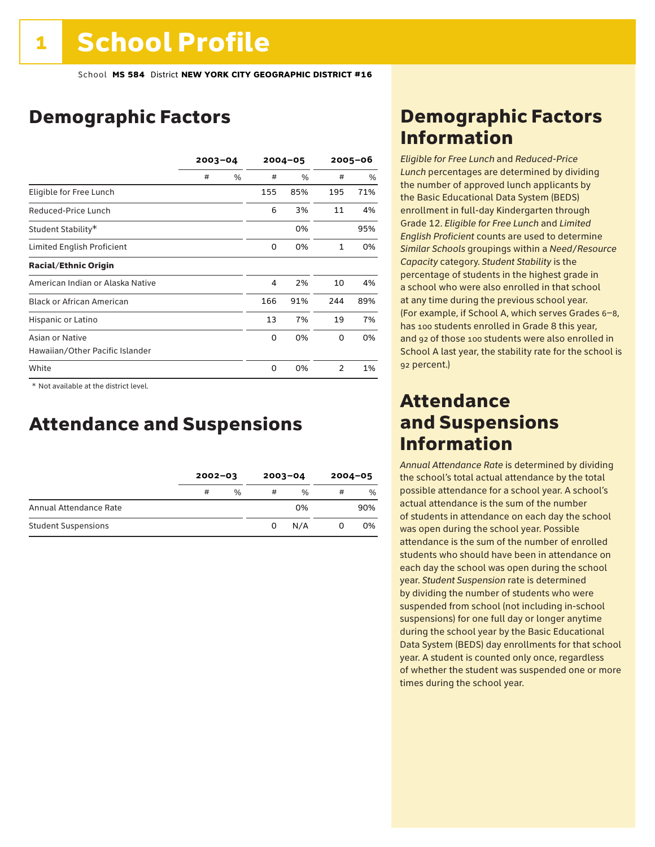## Demographic Factors

|                                  | $2003 - 04$ |               | $2004 - 05$ |      | $2005 - 06$ |     |
|----------------------------------|-------------|---------------|-------------|------|-------------|-----|
|                                  | #           | $\frac{0}{0}$ | #           | $\%$ | #           | %   |
| Eligible for Free Lunch          |             |               | 155         | 85%  | 195         | 71% |
| Reduced-Price Lunch              |             |               | 6           | 3%   | 11          | 4%  |
| Student Stability*               |             |               |             | 0%   |             | 95% |
| Limited English Proficient       |             |               | 0           | 0%   | 1           | 0%  |
| <b>Racial/Ethnic Origin</b>      |             |               |             |      |             |     |
| American Indian or Alaska Native |             |               | 4           | 2%   | 10          | 4%  |
| <b>Black or African American</b> |             |               | 166         | 91%  | 244         | 89% |
| Hispanic or Latino               |             |               | 13          | 7%   | 19          | 7%  |
| Asian or Native                  |             |               | 0           | 0%   | 0           | 0%  |
| Hawaiian/Other Pacific Islander  |             |               |             |      |             |     |
| White                            |             |               | $\Omega$    | 0%   | 2           | 1%  |

 \* Not available at the district level.

## Attendance and Suspensions

|                            | $2002 - 03$ |               | $2003 - 04$ |               | $2004 - 05$ |     |
|----------------------------|-------------|---------------|-------------|---------------|-------------|-----|
|                            | #           | $\frac{0}{0}$ | #           | $\frac{0}{0}$ | #           | %   |
| Annual Attendance Rate     |             |               |             | 0%            |             | 90% |
| <b>Student Suspensions</b> |             |               | 0           | N/A           | O           | 0%  |

## Demographic Factors Information

*Eligible for Free Lunch* and *Reduced*-*Price Lunch* percentages are determined by dividing the number of approved lunch applicants by the Basic Educational Data System (BEDS) enrollment in full-day Kindergarten through Grade 12. *Eligible for Free Lunch* and *Limited English Proficient* counts are used to determine *Similar Schools* groupings within a *Need*/*Resource Capacity* category. *Student Stability* is the percentage of students in the highest grade in a school who were also enrolled in that school at any time during the previous school year. (For example, if School A, which serves Grades 6–8, has 100 students enrolled in Grade 8 this year, and 92 of those 100 students were also enrolled in School A last year, the stability rate for the school is 92 percent.)

### Attendance and Suspensions Information

*Annual Attendance Rate* is determined by dividing the school's total actual attendance by the total possible attendance for a school year. A school's actual attendance is the sum of the number of students in attendance on each day the school was open during the school year. Possible attendance is the sum of the number of enrolled students who should have been in attendance on each day the school was open during the school year. *Student Suspension* rate is determined by dividing the number of students who were suspended from school (not including in-school suspensions) for one full day or longer anytime during the school year by the Basic Educational Data System (BEDS) day enrollments for that school year. A student is counted only once, regardless of whether the student was suspended one or more times during the school year.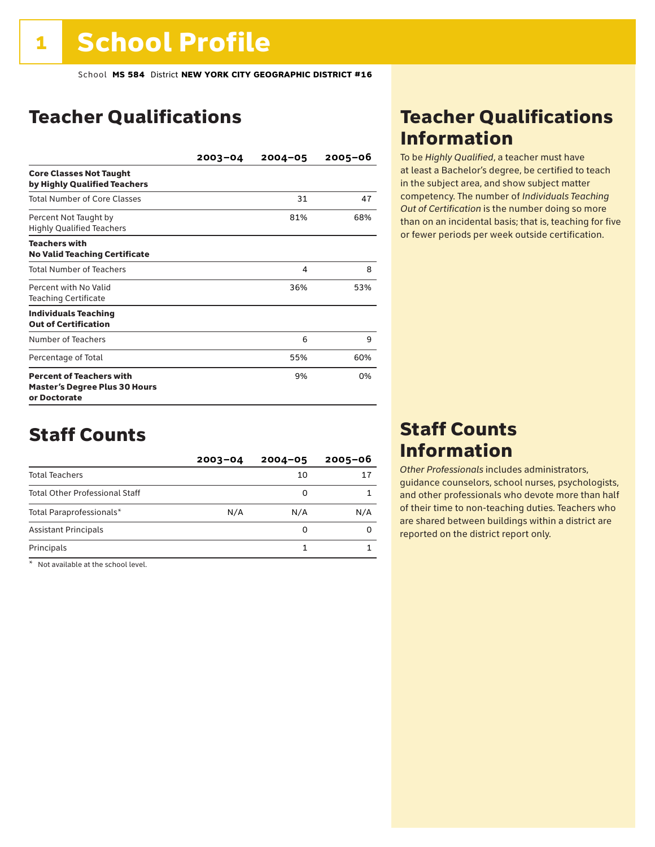## Teacher Qualifications

|                                                                                         | $2003 - 04$ | $2004 - 05$ | $2005 - 06$ |
|-----------------------------------------------------------------------------------------|-------------|-------------|-------------|
| <b>Core Classes Not Taught</b><br>by Highly Qualified Teachers                          |             |             |             |
| Total Number of Core Classes                                                            |             | 31          | 47          |
| Percent Not Taught by<br><b>Highly Qualified Teachers</b>                               |             | 81%         | 68%         |
| <b>Teachers with</b><br><b>No Valid Teaching Certificate</b>                            |             |             |             |
| <b>Total Number of Teachers</b>                                                         |             | 4           | 8           |
| Percent with No Valid<br><b>Teaching Certificate</b>                                    |             | 36%         | 53%         |
| <b>Individuals Teaching</b><br><b>Out of Certification</b>                              |             |             |             |
| Number of Teachers                                                                      |             | 6           | 9           |
| Percentage of Total                                                                     |             | 55%         | 60%         |
| <b>Percent of Teachers with</b><br><b>Master's Degree Plus 30 Hours</b><br>or Doctorate |             | 9%          | 0%          |

### Staff Counts

|                                       | $2003 - 04$ | $2004 - 05$ | $2005 - 06$ |
|---------------------------------------|-------------|-------------|-------------|
| <b>Total Teachers</b>                 |             | 10          | 17          |
| <b>Total Other Professional Staff</b> |             | 0           |             |
| Total Paraprofessionals*              | N/A         | N/A         | N/A         |
| <b>Assistant Principals</b>           |             | 0           |             |
| Principals                            |             |             |             |

\* Not available at the school level.

### Teacher Qualifications Information

To be *Highly Qualified*, a teacher must have at least a Bachelor's degree, be certified to teach in the subject area, and show subject matter competency. The number of *Individuals Teaching Out of Certification* is the number doing so more than on an incidental basis; that is, teaching for five or fewer periods per week outside certification.

### Staff Counts Information

*Other Professionals* includes administrators, guidance counselors, school nurses, psychologists, and other professionals who devote more than half of their time to non-teaching duties. Teachers who are shared between buildings within a district are reported on the district report only.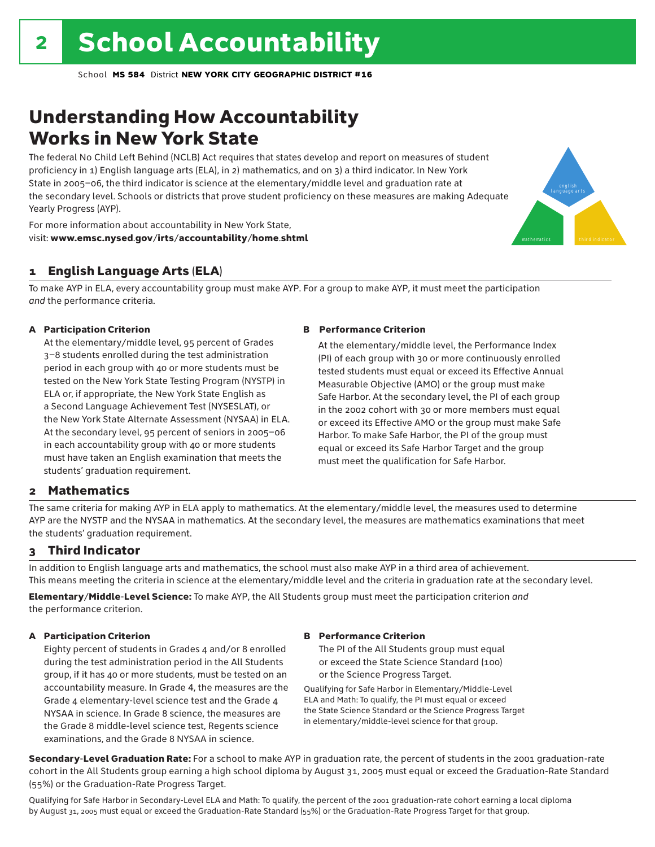## Understanding How Accountability Works in New York State

The federal No Child Left Behind (NCLB) Act requires that states develop and report on measures of student proficiency in 1) English language arts (ELA), in 2) mathematics, and on 3) a third indicator. In New York State in 2005–06, the third indicator is science at the elementary/middle level and graduation rate at the secondary level. Schools or districts that prove student proficiency on these measures are making Adequate Yearly Progress (AYP).



For more information about accountability in New York State, visit: www.emsc.nysed.gov/irts/accountability/home.shtml

### 1 English Language Arts (ELA)

To make AYP in ELA, every accountability group must make AYP. For a group to make AYP, it must meet the participation *and* the performance criteria.

### A Participation Criterion

At the elementary/middle level, 95 percent of Grades 3–8 students enrolled during the test administration period in each group with 40 or more students must be tested on the New York State Testing Program (NYSTP) in ELA or, if appropriate, the New York State English as a Second Language Achievement Test (NYSESLAT), or the New York State Alternate Assessment (NYSAA) in ELA. At the secondary level, 95 percent of seniors in 2005–06 in each accountability group with 40 or more students must have taken an English examination that meets the students' graduation requirement.

### B Performance Criterion

At the elementary/middle level, the Performance Index (PI) of each group with 30 or more continuously enrolled tested students must equal or exceed its Effective Annual Measurable Objective (AMO) or the group must make Safe Harbor. At the secondary level, the PI of each group in the 2002 cohort with 30 or more members must equal or exceed its Effective AMO or the group must make Safe Harbor. To make Safe Harbor, the PI of the group must equal or exceed its Safe Harbor Target and the group must meet the qualification for Safe Harbor.

### 2 Mathematics

The same criteria for making AYP in ELA apply to mathematics. At the elementary/middle level, the measures used to determine AYP are the NYSTP and the NYSAA in mathematics. At the secondary level, the measures are mathematics examinations that meet the students' graduation requirement.

### 3 Third Indicator

In addition to English language arts and mathematics, the school must also make AYP in a third area of achievement. This means meeting the criteria in science at the elementary/middle level and the criteria in graduation rate at the secondary level.

Elementary/Middle-Level Science: To make AYP, the All Students group must meet the participation criterion *and* the performance criterion.

### A Participation Criterion

Eighty percent of students in Grades 4 and/or 8 enrolled during the test administration period in the All Students group, if it has 40 or more students, must be tested on an accountability measure. In Grade 4, the measures are the Grade 4 elementary-level science test and the Grade 4 NYSAA in science. In Grade 8 science, the measures are the Grade 8 middle-level science test, Regents science examinations, and the Grade 8 NYSAA in science.

### B Performance Criterion

The PI of the All Students group must equal or exceed the State Science Standard (100) or the Science Progress Target.

Qualifying for Safe Harbor in Elementary/Middle-Level ELA and Math: To qualify, the PI must equal or exceed the State Science Standard or the Science Progress Target in elementary/middle-level science for that group.

Secondary-Level Graduation Rate: For a school to make AYP in graduation rate, the percent of students in the 2001 graduation-rate cohort in the All Students group earning a high school diploma by August 31, 2005 must equal or exceed the Graduation-Rate Standard (55%) or the Graduation-Rate Progress Target.

Qualifying for Safe Harbor in Secondary-Level ELA and Math: To qualify, the percent of the 2001 graduation-rate cohort earning a local diploma by August 31, 2005 must equal or exceed the Graduation-Rate Standard (55%) or the Graduation-Rate Progress Target for that group.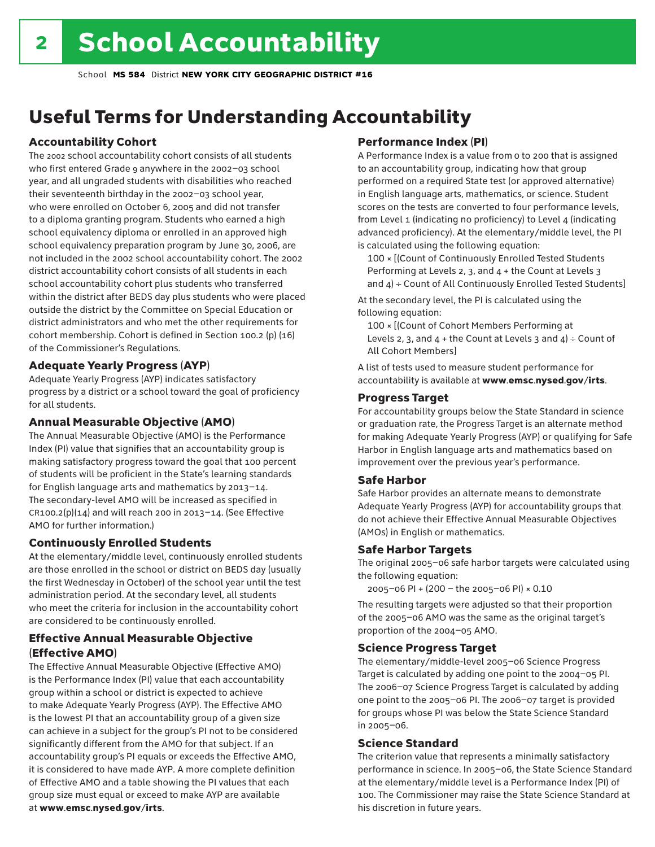## Useful Terms for Understanding Accountability

### Accountability Cohort

The 2002 school accountability cohort consists of all students who first entered Grade 9 anywhere in the 2002–03 school year, and all ungraded students with disabilities who reached their seventeenth birthday in the 2002–03 school year, who were enrolled on October 6, 2005 and did not transfer to a diploma granting program. Students who earned a high school equivalency diploma or enrolled in an approved high school equivalency preparation program by June 30, 2006, are not included in the 2002 school accountability cohort. The 2002 district accountability cohort consists of all students in each school accountability cohort plus students who transferred within the district after BEDS day plus students who were placed outside the district by the Committee on Special Education or district administrators and who met the other requirements for cohort membership. Cohort is defined in Section 100.2 (p) (16) of the Commissioner's Regulations.

### Adequate Yearly Progress (AYP)

Adequate Yearly Progress (AYP) indicates satisfactory progress by a district or a school toward the goal of proficiency for all students.

### Annual Measurable Objective (AMO)

The Annual Measurable Objective (AMO) is the Performance Index (PI) value that signifies that an accountability group is making satisfactory progress toward the goal that 100 percent of students will be proficient in the State's learning standards for English language arts and mathematics by 2013–14. The secondary-level AMO will be increased as specified in  $CR100.2(p)(14)$  and will reach 200 in 2013-14. (See Effective AMO for further information.)

### Continuously Enrolled Students

At the elementary/middle level, continuously enrolled students are those enrolled in the school or district on BEDS day (usually the first Wednesday in October) of the school year until the test administration period. At the secondary level, all students who meet the criteria for inclusion in the accountability cohort are considered to be continuously enrolled.

### Effective Annual Measurable Objective (Effective AMO)

The Effective Annual Measurable Objective (Effective AMO) is the Performance Index (PI) value that each accountability group within a school or district is expected to achieve to make Adequate Yearly Progress (AYP). The Effective AMO is the lowest PI that an accountability group of a given size can achieve in a subject for the group's PI not to be considered significantly different from the AMO for that subject. If an accountability group's PI equals or exceeds the Effective AMO, it is considered to have made AYP. A more complete definition of Effective AMO and a table showing the PI values that each group size must equal or exceed to make AYP are available at www.emsc.nysed.gov/irts.

### Performance Index (PI)

A Performance Index is a value from 0 to 200 that is assigned to an accountability group, indicating how that group performed on a required State test (or approved alternative) in English language arts, mathematics, or science. Student scores on the tests are converted to four performance levels, from Level 1 (indicating no proficiency) to Level 4 (indicating advanced proficiency). At the elementary/middle level, the PI is calculated using the following equation:

100 × [(Count of Continuously Enrolled Tested Students Performing at Levels 2, 3, and 4 + the Count at Levels 3 and  $4$ ) ÷ Count of All Continuously Enrolled Tested Students]

At the secondary level, the PI is calculated using the following equation:

100 × [(Count of Cohort Members Performing at Levels 2, 3, and  $4 +$  the Count at Levels 3 and  $4$ ) ÷ Count of All Cohort Members]

A list of tests used to measure student performance for accountability is available at www.emsc.nysed.gov/irts.

### Progress Target

For accountability groups below the State Standard in science or graduation rate, the Progress Target is an alternate method for making Adequate Yearly Progress (AYP) or qualifying for Safe Harbor in English language arts and mathematics based on improvement over the previous year's performance.

### Safe Harbor

Safe Harbor provides an alternate means to demonstrate Adequate Yearly Progress (AYP) for accountability groups that do not achieve their Effective Annual Measurable Objectives (AMOs) in English or mathematics.

### Safe Harbor Targets

The original 2005–06 safe harbor targets were calculated using the following equation:

2005–06 PI + (200 – the 2005–06 PI) × 0.10

The resulting targets were adjusted so that their proportion of the 2005–06 AMO was the same as the original target's proportion of the 2004–05 AMO.

### Science Progress Target

The elementary/middle-level 2005–06 Science Progress Target is calculated by adding one point to the 2004–05 PI. The 2006–07 Science Progress Target is calculated by adding one point to the 2005–06 PI. The 2006–07 target is provided for groups whose PI was below the State Science Standard in 2005–06.

### Science Standard

The criterion value that represents a minimally satisfactory performance in science. In 2005–06, the State Science Standard at the elementary/middle level is a Performance Index (PI) of 100. The Commissioner may raise the State Science Standard at his discretion in future years.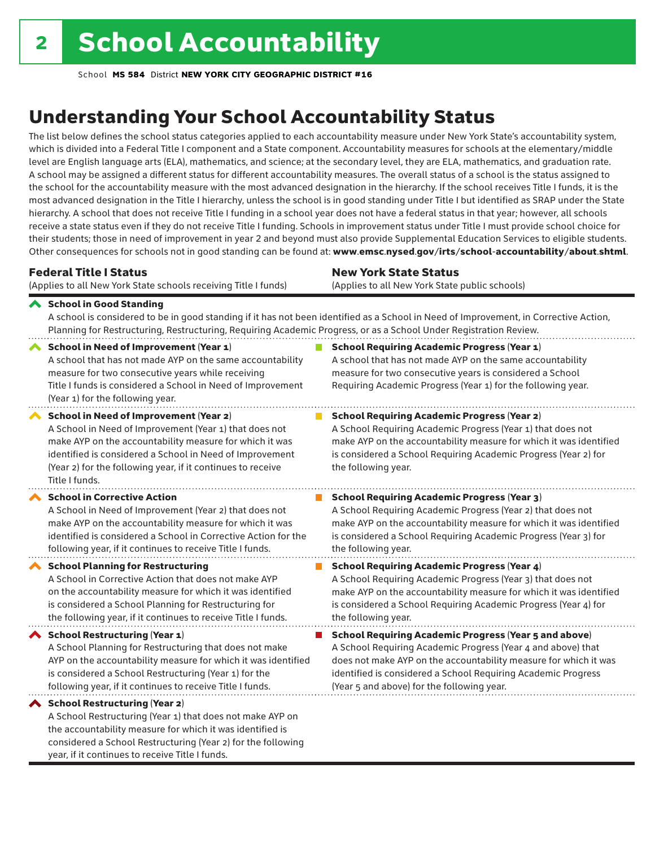year, if it continues to receive Title I funds.

School **MS 584** District **NEW YORK CITY GEOGRAPHIC DISTRICT #16**

## Understanding Your School Accountability Status

The list below defines the school status categories applied to each accountability measure under New York State's accountability system, which is divided into a Federal Title I component and a State component. Accountability measures for schools at the elementary/middle level are English language arts (ELA), mathematics, and science; at the secondary level, they are ELA, mathematics, and graduation rate. A school may be assigned a different status for different accountability measures. The overall status of a school is the status assigned to the school for the accountability measure with the most advanced designation in the hierarchy. If the school receives Title I funds, it is the most advanced designation in the Title I hierarchy, unless the school is in good standing under Title I but identified as SRAP under the State hierarchy. A school that does not receive Title I funding in a school year does not have a federal status in that year; however, all schools receive a state status even if they do not receive Title I funding. Schools in improvement status under Title I must provide school choice for their students; those in need of improvement in year 2 and beyond must also provide Supplemental Education Services to eligible students. Other consequences for schools not in good standing can be found at: www.emsc.nysed.gov/irts/school-accountability/about.shtml.

| <b>Federal Title I Status</b>                                                                                                                                                                                                                                                                                   | <b>New York State Status</b>                                                                                                                                                                                                                                                      |
|-----------------------------------------------------------------------------------------------------------------------------------------------------------------------------------------------------------------------------------------------------------------------------------------------------------------|-----------------------------------------------------------------------------------------------------------------------------------------------------------------------------------------------------------------------------------------------------------------------------------|
| (Applies to all New York State schools receiving Title I funds)                                                                                                                                                                                                                                                 | (Applies to all New York State public schools)                                                                                                                                                                                                                                    |
| School in Good Standing<br>Planning for Restructuring, Restructuring, Requiring Academic Progress, or as a School Under Registration Review.                                                                                                                                                                    | A school is considered to be in good standing if it has not been identified as a School in Need of Improvement, in Corrective Action,                                                                                                                                             |
| <b>School in Need of Improvement (Year 1)</b><br>A school that has not made AYP on the same accountability<br>measure for two consecutive years while receiving<br>Title I funds is considered a School in Need of Improvement<br>(Year 1) for the following year.                                              | <b>School Requiring Academic Progress (Year 1)</b><br>A school that has not made AYP on the same accountability<br>measure for two consecutive years is considered a School<br>Requiring Academic Progress (Year 1) for the following year.                                       |
| <b>School in Need of Improvement (Year 2)</b><br>A School in Need of Improvement (Year 1) that does not<br>make AYP on the accountability measure for which it was<br>identified is considered a School in Need of Improvement<br>(Year 2) for the following year, if it continues to receive<br>Title I funds. | <b>School Requiring Academic Progress (Year 2)</b><br>A School Requiring Academic Progress (Year 1) that does not<br>make AYP on the accountability measure for which it was identified<br>is considered a School Requiring Academic Progress (Year 2) for<br>the following year. |
| <b>School in Corrective Action</b>                                                                                                                                                                                                                                                                              | <b>School Requiring Academic Progress (Year 3)</b>                                                                                                                                                                                                                                |
| A School in Need of Improvement (Year 2) that does not                                                                                                                                                                                                                                                          | A School Requiring Academic Progress (Year 2) that does not                                                                                                                                                                                                                       |
| make AYP on the accountability measure for which it was                                                                                                                                                                                                                                                         | make AYP on the accountability measure for which it was identified                                                                                                                                                                                                                |
| identified is considered a School in Corrective Action for the                                                                                                                                                                                                                                                  | is considered a School Requiring Academic Progress (Year 3) for                                                                                                                                                                                                                   |
| following year, if it continues to receive Title I funds.                                                                                                                                                                                                                                                       | the following year.                                                                                                                                                                                                                                                               |
| <b>School Planning for Restructuring</b>                                                                                                                                                                                                                                                                        | <b>School Requiring Academic Progress (Year 4)</b>                                                                                                                                                                                                                                |
| A School in Corrective Action that does not make AYP                                                                                                                                                                                                                                                            | A School Requiring Academic Progress (Year 3) that does not                                                                                                                                                                                                                       |
| on the accountability measure for which it was identified                                                                                                                                                                                                                                                       | make AYP on the accountability measure for which it was identified                                                                                                                                                                                                                |
| is considered a School Planning for Restructuring for                                                                                                                                                                                                                                                           | is considered a School Requiring Academic Progress (Year 4) for                                                                                                                                                                                                                   |
| the following year, if it continues to receive Title I funds.                                                                                                                                                                                                                                                   | the following year.                                                                                                                                                                                                                                                               |
| School Restructuring (Year 1)                                                                                                                                                                                                                                                                                   | <b>School Requiring Academic Progress (Year 5 and above)</b>                                                                                                                                                                                                                      |
| A School Planning for Restructuring that does not make                                                                                                                                                                                                                                                          | A School Requiring Academic Progress (Year 4 and above) that                                                                                                                                                                                                                      |
| AYP on the accountability measure for which it was identified                                                                                                                                                                                                                                                   | does not make AYP on the accountability measure for which it was                                                                                                                                                                                                                  |
| is considered a School Restructuring (Year 1) for the                                                                                                                                                                                                                                                           | identified is considered a School Requiring Academic Progress                                                                                                                                                                                                                     |
| following year, if it continues to receive Title I funds.                                                                                                                                                                                                                                                       | (Year 5 and above) for the following year.                                                                                                                                                                                                                                        |
| ◆ School Restructuring (Year 2)<br>A School Restructuring (Year 1) that does not make AYP on<br>the accountability measure for which it was identified is<br>considered a School Restructuring (Year 2) for the following                                                                                       |                                                                                                                                                                                                                                                                                   |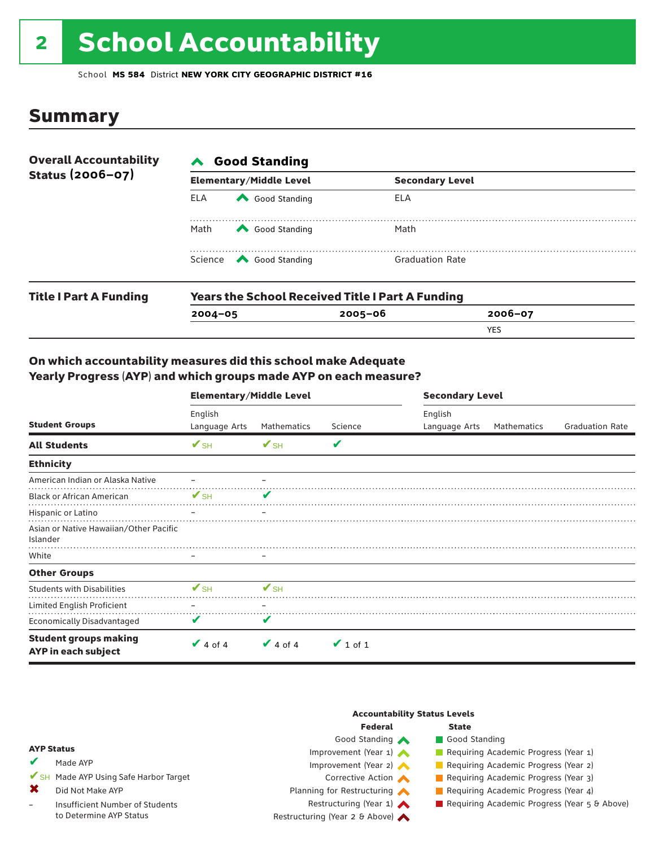# 2 School Accountability

School **MS 584** District **NEW YORK CITY GEOGRAPHIC DISTRICT #16**

### Summary

| <b>Overall Accountability</b> | <b>Good Standing</b><br>$\blacktriangle$                |                                |                        |             |  |  |  |
|-------------------------------|---------------------------------------------------------|--------------------------------|------------------------|-------------|--|--|--|
| Status (2006-07)              |                                                         | <b>Elementary/Middle Level</b> | <b>Secondary Level</b> |             |  |  |  |
| <b>Title I Part A Funding</b> | <b>ELA</b>                                              | Good Standing                  | ELA                    |             |  |  |  |
|                               | Math                                                    | Good Standing                  | Math                   |             |  |  |  |
|                               |                                                         | Science <a> Good Standing</a>  | <b>Graduation Rate</b> |             |  |  |  |
|                               | <b>Years the School Received Title I Part A Funding</b> |                                |                        |             |  |  |  |
|                               | $2004 - 05$                                             |                                | $2005 - 06$            | $2006 - 07$ |  |  |  |

YES

### On which accountability measures did this school make Adequate Yearly Progress (AYP) and which groups made AYP on each measure?

|                                                            | <b>Elementary/Middle Level</b> |               |               | <b>Secondary Level</b>   |             |                        |  |
|------------------------------------------------------------|--------------------------------|---------------|---------------|--------------------------|-------------|------------------------|--|
| <b>Student Groups</b>                                      | English<br>Language Arts       | Mathematics   | Science       | English<br>Language Arts | Mathematics | <b>Graduation Rate</b> |  |
| <b>All Students</b>                                        | $V$ SH                         | $V$ SH        | V             |                          |             |                        |  |
| <b>Ethnicity</b>                                           |                                |               |               |                          |             |                        |  |
| American Indian or Alaska Native                           |                                |               |               |                          |             |                        |  |
| <b>Black or African American</b>                           | $V$ SH                         | V             |               |                          |             |                        |  |
| Hispanic or Latino                                         |                                |               |               |                          |             |                        |  |
| Asian or Native Hawaiian/Other Pacific<br>Islander         |                                |               |               |                          |             |                        |  |
| White                                                      |                                |               |               |                          |             |                        |  |
| <b>Other Groups</b>                                        |                                |               |               |                          |             |                        |  |
| <b>Students with Disabilities</b>                          | $V_{\rm SH}$                   | $V$ SH        |               |                          |             |                        |  |
| Limited English Proficient                                 |                                |               |               |                          |             |                        |  |
| <b>Economically Disadvantaged</b>                          | V                              | V             |               |                          |             |                        |  |
| <b>Student groups making</b><br><b>AYP</b> in each subject | $\vee$ 4 of 4                  | $\vee$ 4 of 4 | $\vee$ 1 of 1 |                          |             |                        |  |

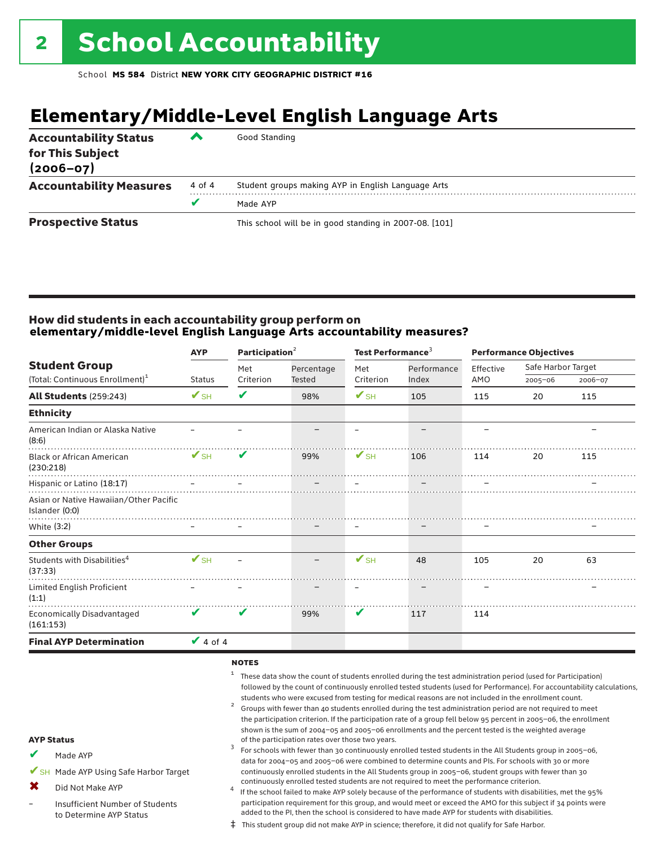## **Elementary/Middle-Level English Language Arts**

| <b>Accountability Status</b><br>for This Subject<br>$(2006 - 07)$ | ▰      | Good Standing                                          |
|-------------------------------------------------------------------|--------|--------------------------------------------------------|
| <b>Accountability Measures</b>                                    | 4 of 4 | Student groups making AYP in English Language Arts     |
|                                                                   |        | Made AYP                                               |
| <b>Prospective Status</b>                                         |        | This school will be in good standing in 2007-08. [101] |

### How did students in each accountability group perform on **elementary/middle-level English Language Arts accountability measures?**

|                                                                     | <b>AYP</b>               | Participation <sup>2</sup> |                             | Test Performance <sup>3</sup> |                      |                  | <b>Performance Objectives</b> |         |
|---------------------------------------------------------------------|--------------------------|----------------------------|-----------------------------|-------------------------------|----------------------|------------------|-------------------------------|---------|
| <b>Student Group</b><br>(Total: Continuous Enrollment) <sup>1</sup> | <b>Status</b>            | Met<br>Criterion           | Percentage<br><b>Tested</b> | Met<br>Criterion              | Performance<br>Index | Effective<br>AMO | Safe Harbor Target<br>2005-06 | 2006-07 |
| <b>All Students (259:243)</b>                                       | $\mathbf{V}_{\text{SH}}$ | ✔                          | 98%                         | $\mathbf{V}_{\text{SH}}$      | 105                  | 115              | 20                            | 115     |
| <b>Ethnicity</b>                                                    |                          |                            |                             |                               |                      |                  |                               |         |
| American Indian or Alaska Native<br>(8:6)                           |                          |                            |                             |                               |                      |                  |                               |         |
| <b>Black or African American</b><br>(230:218)                       | $\mathbf{V}_{\text{SH}}$ | V                          | 99%                         | $\mathbf{V}_{\text{SH}}$      | 106                  | 114              | 20                            | 115     |
| Hispanic or Latino (18:17)                                          |                          |                            |                             |                               |                      |                  |                               |         |
| Asian or Native Hawaiian/Other Pacific<br>Islander (0:0)            |                          |                            |                             |                               |                      |                  |                               |         |
| White (3:2)                                                         |                          |                            |                             |                               |                      |                  |                               |         |
| <b>Other Groups</b>                                                 |                          |                            |                             |                               |                      |                  |                               |         |
| Students with Disabilities <sup>4</sup><br>(37:33)                  | $V$ SH                   |                            |                             | $\mathbf{V}_{\text{SH}}$      | 48                   | 105              | 20                            | 63      |
| Limited English Proficient<br>(1:1)                                 |                          |                            |                             |                               |                      |                  |                               |         |
| <b>Economically Disadvantaged</b><br>(161:153)                      | V                        | V                          | 99%                         | V                             | 117                  | 114              |                               |         |
| <b>Final AYP Determination</b>                                      | $\vee$ 4 of 4            |                            |                             |                               |                      |                  |                               |         |

#### notes

- <sup>1</sup> These data show the count of students enrolled during the test administration period (used for Participation) followed by the count of continuously enrolled tested students (used for Performance). For accountability calculations,
- students who were excused from testing for medical reasons are not included in the enrollment count.<br><sup>2</sup> Groups with fewer than 40 students enrolled during the test administration period are not required to meet the participation criterion. If the participation rate of a group fell below 95 percent in 2005–06, the enrollment shown is the sum of 2004–05 and 2005–06 enrollments and the percent tested is the weighted average<br>of the participation rates over those two years. of the participation rates over those two years. <sup>3</sup> For schools with fewer than 30 continuously enrolled tested students in the All Students group in 2005–06,

AYP Status

Made AYP ✔

✔SH Made AYP Using Safe Harbor Target

Did Not Make AYP ✖

Insufficient Number of Students to Determine AYP Status –

continuously enrolled tested students are not required to meet the performance criterion.<br>If the school failed to make AYP solely because of the performance of students with disabilities, met the 95% participation requirement for this group, and would meet or exceed the AMO for this subject if 34 points were added to the PI, then the school is considered to have made AYP for students with disabilities.

data for 2004–05 and 2005–06 were combined to determine counts and PIs. For schools with 30 or more continuously enrolled students in the All Students group in 2005–06, student groups with fewer than 30

‡ This student group did not make AYP in science; therefore, it did not qualify for Safe Harbor.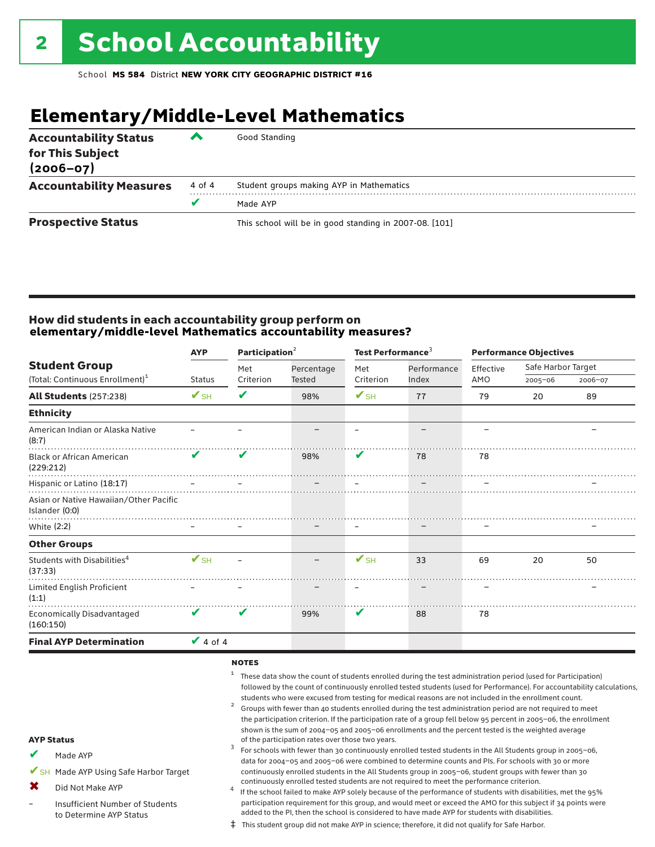## **Elementary/Middle-Level Mathematics**

| <b>Accountability Status</b><br>for This Subject<br>$(2006 - 07)$ | ▰      | Good Standing                                          |
|-------------------------------------------------------------------|--------|--------------------------------------------------------|
| <b>Accountability Measures</b>                                    | 4 of 4 | Student groups making AYP in Mathematics               |
|                                                                   |        | Made AYP                                               |
| <b>Prospective Status</b>                                         |        | This school will be in good standing in 2007-08. [101] |

### How did students in each accountability group perform on **elementary/middle-level Mathematics accountability measures?**

|                          |               |                            |                          |             | <b>Performance Objectives</b> |                    |             |
|--------------------------|---------------|----------------------------|--------------------------|-------------|-------------------------------|--------------------|-------------|
|                          | Met           | Percentage                 | Met                      | Performance | Effective                     | Safe Harbor Target |             |
|                          |               |                            |                          |             |                               |                    | 2006-07     |
| $\mathbf{V}_{\text{SH}}$ | V             | 98%                        | $\mathbf{V}_{\text{SH}}$ | 77          | 79                            | 20                 | 89          |
|                          |               |                            |                          |             |                               |                    |             |
|                          |               |                            |                          |             |                               |                    |             |
| V                        | V             | 98%                        | V                        | 78          | 78                            |                    |             |
|                          |               |                            |                          |             |                               |                    |             |
|                          |               |                            |                          |             |                               |                    |             |
|                          |               |                            |                          |             |                               |                    |             |
|                          |               |                            |                          |             |                               |                    |             |
| $\mathbf{V}_{\text{SH}}$ |               |                            | $\mathbf{V}_{\text{SH}}$ | 33          | 69                            | 20                 | 50          |
|                          |               |                            |                          |             |                               |                    |             |
| V                        | V             | 99%                        | V                        | 88          | 78                            |                    |             |
|                          |               |                            |                          |             |                               |                    |             |
|                          | <b>Status</b> | Criterion<br>$\vee$ 4 of 4 | <b>Tested</b>            | Criterion   | Index                         | AMO                | $2005 - 06$ |

#### notes

- <sup>1</sup> These data show the count of students enrolled during the test administration period (used for Participation) followed by the count of continuously enrolled tested students (used for Performance). For accountability calculations,
- students who were excused from testing for medical reasons are not included in the enrollment count.<br><sup>2</sup> Groups with fewer than 40 students enrolled during the test administration period are not required to meet the participation criterion. If the participation rate of a group fell below 95 percent in 2005–06, the enrollment shown is the sum of 2004–05 and 2005–06 enrollments and the percent tested is the weighted average<br>of the participation rates over those two years. of the participation rates over those two years. <sup>3</sup> For schools with fewer than 30 continuously enrolled tested students in the All Students group in 2005–06,

AYP Status

Made AYP ✔

✔SH Made AYP Using Safe Harbor Target

Did Not Make AYP  $\mathbf x$ 

Insufficient Number of Students to Determine AYP Status –

continuously enrolled tested students are not required to meet the performance criterion. <sup>4</sup> If the school failed to make AYP solely because of the performance of students with disabilities, met the 95% participation requirement for this group, and would meet or exceed the AMO for this subject if 34 points were added to the PI, then the school is considered to have made AYP for students with disabilities.

data for 2004–05 and 2005–06 were combined to determine counts and PIs. For schools with 30 or more continuously enrolled students in the All Students group in 2005–06, student groups with fewer than 30

‡ This student group did not make AYP in science; therefore, it did not qualify for Safe Harbor.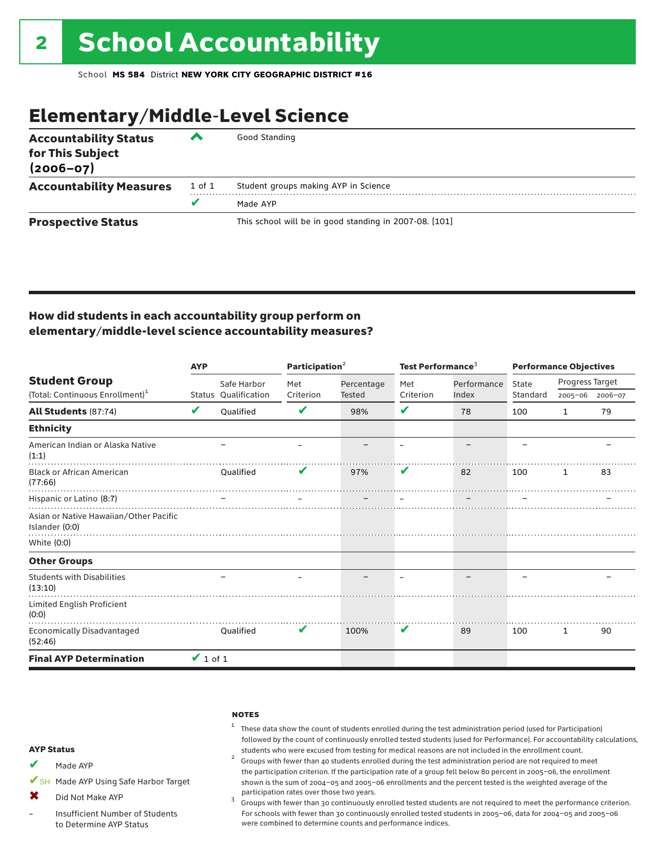## Elementary/Middle-Level Science

| <b>Accountability Status</b><br>for This Subject<br>$(2006 - 07)$ | ▰      | Good Standing                                          |
|-------------------------------------------------------------------|--------|--------------------------------------------------------|
| <b>Accountability Measures</b>                                    | 1 of 1 | Student groups making AYP in Science                   |
|                                                                   | v      | Made AYP                                               |
| <b>Prospective Status</b>                                         |        | This school will be in good standing in 2007-08. [101] |

### How did students in each accountability group perform on elementary/middle-level science accountability measures?

|                                                                     | <b>AYP</b>    |                                     | Participation <sup>2</sup> |                      | Test Performance <sup>3</sup> |                      | <b>Performance Objectives</b> |                            |         |
|---------------------------------------------------------------------|---------------|-------------------------------------|----------------------------|----------------------|-------------------------------|----------------------|-------------------------------|----------------------------|---------|
| <b>Student Group</b><br>(Total: Continuous Enrollment) <sup>1</sup> |               | Safe Harbor<br>Status Qualification | Met<br>Criterion           | Percentage<br>Tested | Met<br>Criterion              | Performance<br>Index | State<br>Standard             | Progress Target<br>2005-06 | 2006-07 |
| <b>All Students (87:74)</b>                                         | V             | <b>Oualified</b>                    | V                          | 98%                  | V                             | 78                   | 100                           | $\mathbf{1}$               | 79      |
| <b>Ethnicity</b>                                                    |               |                                     |                            |                      |                               |                      |                               |                            |         |
| American Indian or Alaska Native<br>(1:1)                           |               |                                     |                            |                      |                               |                      |                               |                            |         |
| <b>Black or African American</b><br>(77:66)                         |               | Oualified                           | V                          | 97%                  | V                             | 82                   | 100                           | 1                          | 83      |
| Hispanic or Latino (8:7)                                            |               |                                     |                            |                      |                               |                      |                               |                            |         |
| Asian or Native Hawaiian/Other Pacific<br>Islander (0:0)            |               |                                     |                            |                      |                               |                      |                               |                            |         |
| White (0:0)                                                         |               |                                     |                            |                      |                               |                      |                               |                            |         |
| <b>Other Groups</b>                                                 |               |                                     |                            |                      |                               |                      |                               |                            |         |
| <b>Students with Disabilities</b><br>(13:10)                        |               |                                     |                            |                      |                               |                      |                               |                            |         |
| Limited English Proficient<br>(0:0)                                 |               |                                     |                            |                      |                               |                      |                               |                            |         |
| Economically Disadvantaged<br>(52:46)                               |               | Oualified                           | V                          | 100%                 | V                             | 89                   | 100                           | 1                          | 90      |
| <b>Final AYP Determination</b>                                      | $\vee$ 1 of 1 |                                     |                            |                      |                               |                      |                               |                            |         |

#### **NOTES**

### <sup>1</sup> These data show the count of students enrolled during the test administration period (used for Participation) followed by the count of continuously enrolled tested students (used for Performance). For accountability calculations,

students who were excused from testing for medical reasons are not included in the enrollment count.<br><sup>2</sup> Groups with fewer than 40 students enrolled during the test administration period are not required to meet the participation criterion. If the participation rate of a group fell below 80 percent in 2005–06, the enrollment shown is the sum of 2004–05 and 2005–06 enrollments and the percent tested is the weighted average of the

participation rates over those two years.<br><sup>3</sup> Groups with fewer than 30 continuously enrolled tested students are not required to meet the performance criterion. For schools with fewer than 30 continuously enrolled tested students in 2005–06, data for 2004–05 and 2005–06 were combined to determine counts and performance indices.

#### AYP Status

- Made AYP ✔
- ✔SH Made AYP Using Safe Harbor Target
- Did Not Make AYP  $\mathbf x$
- Insufficient Number of Students to Determine AYP Status –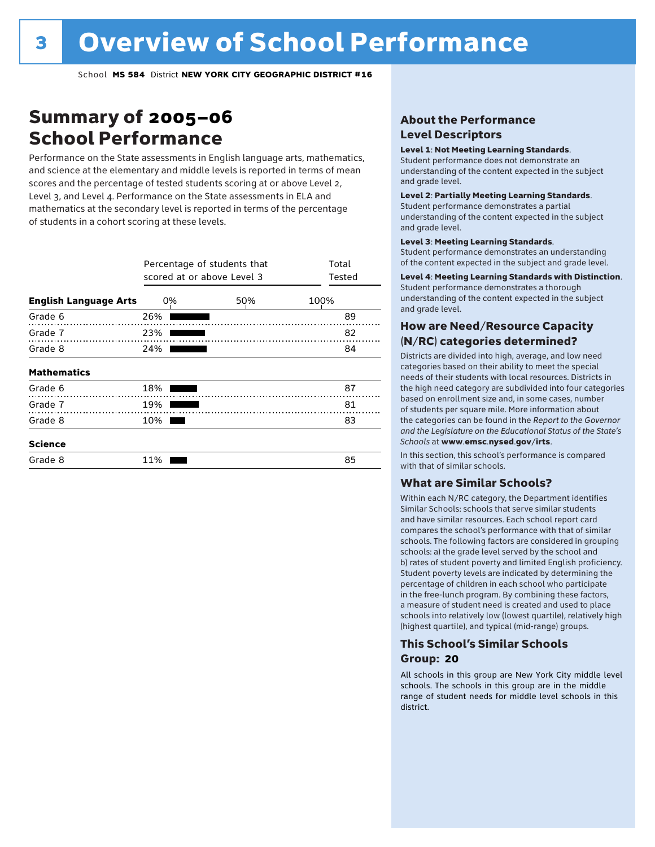## Summary of 2005–06 School Performance

Performance on the State assessments in English language arts, mathematics, and science at the elementary and middle levels is reported in terms of mean scores and the percentage of tested students scoring at or above Level 2, Level 3, and Level 4. Performance on the State assessments in ELA and mathematics at the secondary level is reported in terms of the percentage of students in a cohort scoring at these levels.

|                              | scored at or above Level 3 | Percentage of students that | Total<br>Tested |
|------------------------------|----------------------------|-----------------------------|-----------------|
| <b>English Language Arts</b> | 0%                         | 50%                         | 100%            |
| Grade 6                      | 26%                        |                             | 89              |
| Grade 7                      | 23%                        |                             | 82              |
| Grade 8                      | 24%                        |                             | 84              |
| <b>Mathematics</b>           |                            |                             |                 |
| Grade 6                      | 18%                        |                             | 87              |
| Grade 7                      | 19%                        |                             | 81              |
| Grade 8                      | 10%                        |                             | 83              |
| <b>Science</b>               |                            |                             |                 |
| Grade 8                      | 11%                        |                             | 85              |

### About the Performance Level Descriptors

#### Level 1: Not Meeting Learning Standards.

Student performance does not demonstrate an understanding of the content expected in the subject and grade level.

#### Level 2: Partially Meeting Learning Standards.

Student performance demonstrates a partial understanding of the content expected in the subject and grade level.

#### Level 3: Meeting Learning Standards.

Student performance demonstrates an understanding of the content expected in the subject and grade level.

### Level 4: Meeting Learning Standards with Distinction.

Student performance demonstrates a thorough understanding of the content expected in the subject and grade level.

### How are Need/Resource Capacity (N/RC) categories determined?

Districts are divided into high, average, and low need categories based on their ability to meet the special needs of their students with local resources. Districts in the high need category are subdivided into four categories based on enrollment size and, in some cases, number of students per square mile. More information about the categories can be found in the *Report to the Governor and the Legislature on the Educational Status of the State's Schools* at www.emsc.nysed.gov/irts.

In this section, this school's performance is compared with that of similar schools.

### What are Similar Schools?

Within each N/RC category, the Department identifies Similar Schools: schools that serve similar students and have similar resources. Each school report card compares the school's performance with that of similar schools. The following factors are considered in grouping schools: a) the grade level served by the school and b) rates of student poverty and limited English proficiency. Student poverty levels are indicated by determining the percentage of children in each school who participate in the free-lunch program. By combining these factors, a measure of student need is created and used to place schools into relatively low (lowest quartile), relatively high (highest quartile), and typical (mid-range) groups.

### This School's Similar Schools Group: **20**

All schools in this group are New York City middle level schools. The schools in this group are in the middle range of student needs for middle level schools in this district.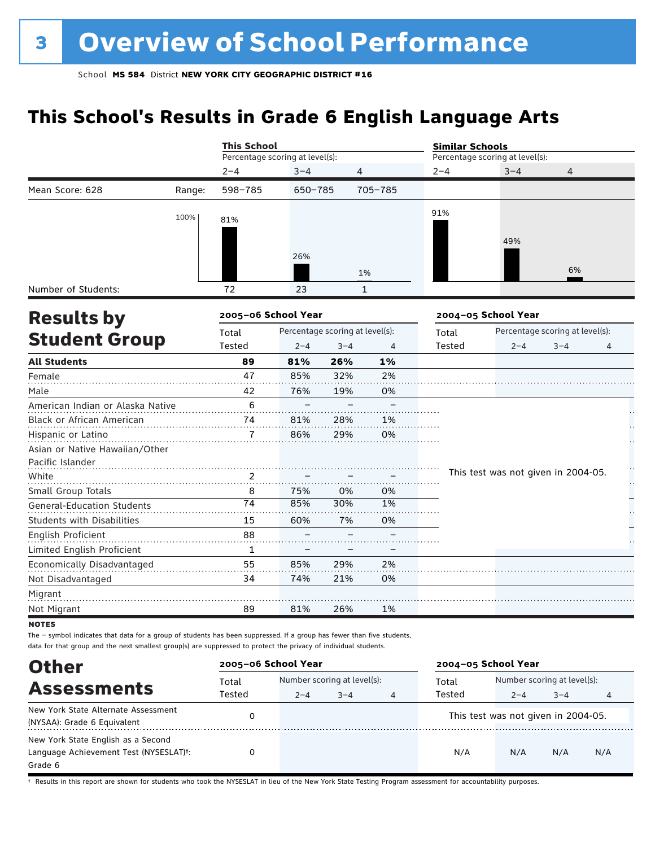## **This School's Results in Grade 6 English Language Arts**

|                                   |        | <b>This School</b>              |                                 |         |              | <b>Similar Schools</b> |                                     |                                 |   |
|-----------------------------------|--------|---------------------------------|---------------------------------|---------|--------------|------------------------|-------------------------------------|---------------------------------|---|
|                                   |        | Percentage scoring at level(s): |                                 |         |              |                        | Percentage scoring at level(s):     |                                 |   |
|                                   |        | $2 - 4$                         | $3 - 4$                         |         | 4            | $2 - 4$                | $3 - 4$                             | 4                               |   |
| Mean Score: 628                   | Range: | 598-785                         | 650-785                         |         | 705-785      |                        |                                     |                                 |   |
|                                   | 100%   | 81%                             |                                 |         |              | 91%                    |                                     |                                 |   |
|                                   |        |                                 |                                 |         |              |                        |                                     |                                 |   |
|                                   |        |                                 |                                 |         |              |                        | 49%                                 |                                 |   |
|                                   |        |                                 | 26%                             |         |              |                        |                                     |                                 |   |
|                                   |        |                                 |                                 |         | 1%           |                        |                                     | 6%                              |   |
| Number of Students:               |        | 72                              | 23                              |         | $\mathbf{1}$ |                        |                                     |                                 |   |
| <b>Results by</b>                 |        | 2005-06 School Year             |                                 |         |              |                        | 2004-05 School Year                 |                                 |   |
|                                   |        | Total                           | Percentage scoring at level(s): |         |              | Total                  |                                     | Percentage scoring at level(s): |   |
| <b>Student Group</b>              |        | Tested                          | $2 - 4$                         | $3 - 4$ | 4            | <b>Tested</b>          | $2 - 4$                             | $3 - 4$                         | 4 |
| <b>All Students</b>               |        | 89                              | 81%                             | 26%     | 1%           |                        |                                     |                                 |   |
| Female                            |        | 47                              | 85%                             | 32%     | 2%           |                        |                                     |                                 |   |
| Male                              |        | 42                              | 76%                             | 19%     | 0%           |                        |                                     |                                 |   |
| American Indian or Alaska Native  |        | 6                               |                                 |         |              |                        |                                     |                                 |   |
| Black or African American         |        | 74                              | 81%                             | 28%     | 1%           |                        |                                     |                                 |   |
| Hispanic or Latino                |        | 7                               | 86%                             | 29%     | 0%           |                        |                                     |                                 |   |
| Asian or Native Hawaiian/Other    |        |                                 |                                 |         |              |                        |                                     |                                 |   |
| Pacific Islander                  |        |                                 |                                 |         |              |                        |                                     |                                 | H |
| White                             |        | 2                               |                                 |         |              |                        | This test was not given in 2004-05. |                                 | H |
| Small Group Totals                |        | 8                               | 75%                             | 0%      | 0%           |                        |                                     |                                 |   |
| <b>General-Education Students</b> |        | 74                              | 85%                             | 30%     | 1%           |                        |                                     |                                 |   |
| <b>Students with Disabilities</b> |        | 15                              | 60%                             | 7%      | 0%           |                        |                                     |                                 |   |
| English Proficient                |        | 88                              |                                 |         |              |                        |                                     |                                 |   |
| Limited English Proficient        |        | $\mathbf{1}$                    |                                 |         |              |                        |                                     |                                 |   |
| Economically Disadvantaged        |        | 55                              | 85%                             | 29%     | 2%           |                        |                                     |                                 |   |
| Not Disadvantaged                 |        | 34                              | 74%                             | 21%     | 0%           |                        |                                     |                                 |   |
| Migrant                           |        |                                 |                                 |         |              |                        |                                     |                                 |   |
| Not Migrant                       |        | 89                              | 81%                             | 26%     | 1%           |                        |                                     |                                 |   |
| <b>NOTES</b>                      |        |                                 |                                 |         |              |                        |                                     |                                 |   |

The – symbol indicates that data for a group of students has been suppressed. If a group has fewer than five students,

Other Assessments<br>
Total Number scoring at level and Total Number scoring at level(s):<br>
Tested 2-4 3-4 3-4<br>
Tested 2-4 3-4 2–4 3–4 4 2–4 3–4 4 data for that group and the next smallest group(s) are suppressed to protect the privacy of individual students. **2005–06 School Year 2004–05 School Year** Total Tested Total Tested New York State Alternate Assessment (NYSAA): Grade 6 Equivalent <sup>0</sup> This test was not given in 2004-05. New York State English as a Second Language Achievement Test (NYSESLAT)†: Grade 6 0 N/A N/A N/A N/A

† Results in this report are shown for students who took the NYSESLAT in lieu of the New York State Testing Program assessment for accountability purposes.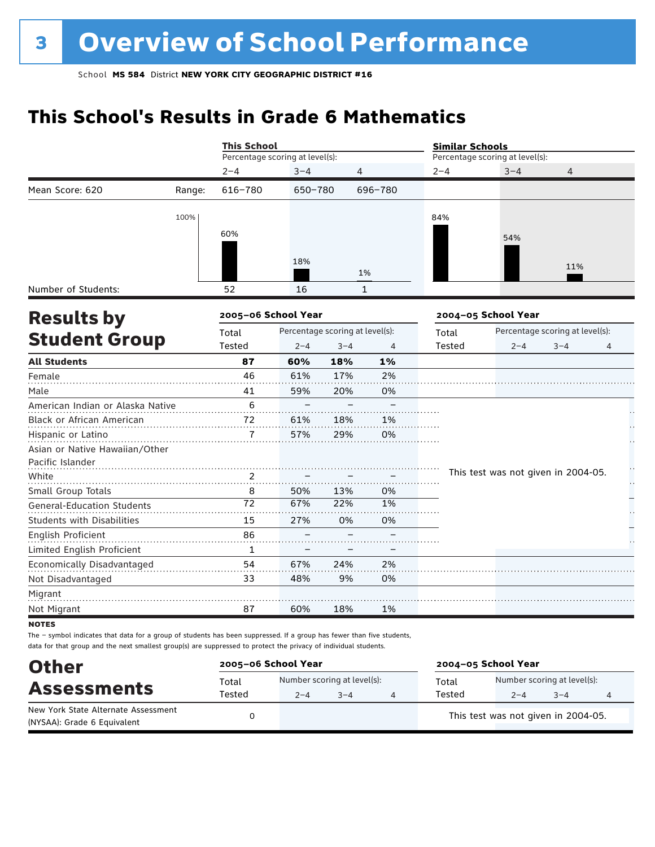## **This School's Results in Grade 6 Mathematics**

|                                   |        | <b>This School</b>              |                                 |         |                | <b>Similar Schools</b> |                                     |                                 |                |
|-----------------------------------|--------|---------------------------------|---------------------------------|---------|----------------|------------------------|-------------------------------------|---------------------------------|----------------|
|                                   |        | Percentage scoring at level(s): |                                 |         |                |                        | Percentage scoring at level(s):     |                                 |                |
|                                   |        | $2 - 4$                         | $3 - 4$                         | 4       |                | $2 - 4$                | $3 - 4$                             | 4                               |                |
| Mean Score: 620                   | Range: | 616-780                         | 650-780                         |         | 696-780        |                        |                                     |                                 |                |
|                                   | 100%   |                                 |                                 |         |                | 84%                    |                                     |                                 |                |
|                                   |        | 60%                             |                                 |         |                |                        |                                     |                                 |                |
|                                   |        |                                 |                                 |         |                |                        | 54%                                 |                                 |                |
|                                   |        |                                 | 18%                             |         |                |                        |                                     |                                 |                |
|                                   |        |                                 |                                 |         | 1%             |                        |                                     | 11%                             |                |
| Number of Students:               |        | 52                              | 16                              |         | $\mathbf{1}$   |                        |                                     |                                 |                |
| <b>Results by</b>                 |        | 2005-06 School Year             |                                 |         |                |                        | 2004-05 School Year                 |                                 |                |
|                                   |        | Total                           | Percentage scoring at level(s): |         |                | Total                  |                                     | Percentage scoring at level(s): |                |
| <b>Student Group</b>              |        | Tested                          | $2 - 4$                         | $3 - 4$ | $\overline{4}$ | Tested                 | $2 - 4$                             | $3 - 4$                         | $\overline{4}$ |
| <b>All Students</b>               |        | 87                              | 60%                             | 18%     | 1%             |                        |                                     |                                 |                |
| Female                            |        | 46                              | 61%                             | 17%     | 2%             |                        |                                     |                                 |                |
| Male                              |        | 41                              | 59%                             | 20%     | 0%             |                        |                                     |                                 |                |
| American Indian or Alaska Native  |        | 6                               |                                 |         |                |                        |                                     |                                 |                |
| Black or African American         |        | 72                              | 61%                             | 18%     | 1%             |                        |                                     |                                 |                |
| Hispanic or Latino                |        | 7                               | 57%                             | 29%     | 0%             |                        |                                     |                                 |                |
| Asian or Native Hawaiian/Other    |        |                                 |                                 |         |                |                        |                                     |                                 |                |
| Pacific Islander                  |        |                                 |                                 |         |                |                        |                                     |                                 |                |
| White                             |        | 2                               |                                 |         |                |                        | This test was not given in 2004-05. |                                 | μ,             |
| Small Group Totals                |        | 8                               | 50%                             | 13%     | 0%             |                        |                                     |                                 |                |
| <b>General-Education Students</b> |        | 72                              | 67%                             | 22%     | 1%             |                        |                                     |                                 |                |
| Students with Disabilities        |        | 15                              | 27%                             | 0%      | 0%             |                        |                                     |                                 |                |
| English Proficient                |        | 86                              |                                 |         |                |                        |                                     |                                 |                |
| Limited English Proficient        |        | $\mathbf{1}$                    |                                 |         |                |                        |                                     |                                 |                |
| Economically Disadvantaged        |        | 54                              | 67%                             | 24%     | 2%             |                        |                                     |                                 |                |
| Not Disadvantaged                 |        | 33                              | 48%                             | 9%      | 0%             |                        |                                     |                                 |                |
| Migrant                           |        |                                 |                                 |         |                |                        |                                     |                                 |                |
| Not Migrant                       |        | 87                              | 60%                             | 18%     | 1%             |                        |                                     |                                 |                |
| <b>NOTES</b>                      |        |                                 |                                 |         |                |                        |                                     |                                 |                |

| <b>Other</b>                                                       | 2005-06 School Year |                                        | 2004-05 School Year |                 |                                        |         |  |
|--------------------------------------------------------------------|---------------------|----------------------------------------|---------------------|-----------------|----------------------------------------|---------|--|
| <b>Assessments</b>                                                 | Total<br>Tested     | Number scoring at level(s):<br>$2 - 4$ | $3 - 4$             | Total<br>Tested | Number scoring at level(s):<br>$2 - 4$ | $3 - 4$ |  |
| New York State Alternate Assessment<br>(NYSAA): Grade 6 Equivalent |                     |                                        |                     |                 | This test was not given in 2004-05.    |         |  |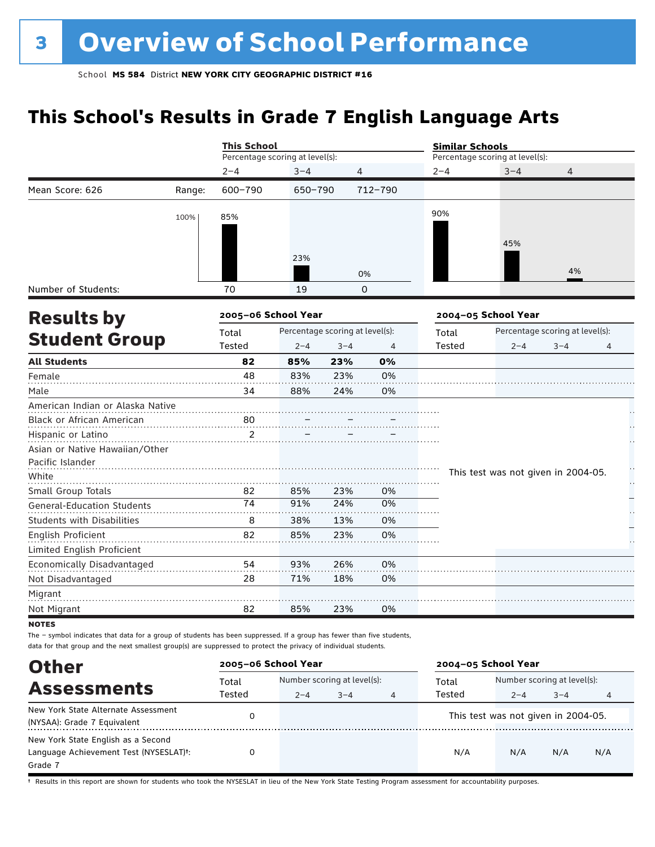## **This School's Results in Grade 7 English Language Arts**

|                                                                                                                                        |        | <b>This School</b>              |                                 |         |                | <b>Similar Schools</b> |                                     |                                 |   |
|----------------------------------------------------------------------------------------------------------------------------------------|--------|---------------------------------|---------------------------------|---------|----------------|------------------------|-------------------------------------|---------------------------------|---|
|                                                                                                                                        |        | Percentage scoring at level(s): |                                 |         |                |                        | Percentage scoring at level(s):     |                                 |   |
|                                                                                                                                        |        | $2 - 4$                         | $3 - 4$                         | 4       |                | $2 - 4$                | $3 - 4$                             | 4                               |   |
| Mean Score: 626                                                                                                                        | Range: | 600-790                         | 650-790                         |         | 712-790        |                        |                                     |                                 |   |
|                                                                                                                                        | 100%   | 85%                             |                                 |         |                | 90%                    |                                     |                                 |   |
|                                                                                                                                        |        |                                 | 23%                             |         |                |                        | 45%                                 | 4%                              |   |
|                                                                                                                                        |        |                                 |                                 |         | 0%             |                        |                                     |                                 |   |
| Number of Students:                                                                                                                    |        | 70                              | 19                              |         | $\Omega$       |                        |                                     |                                 |   |
| <b>Results by</b>                                                                                                                      |        | 2005-06 School Year             |                                 |         |                |                        | 2004-05 School Year                 |                                 |   |
|                                                                                                                                        |        | Total                           | Percentage scoring at level(s): |         |                | Total                  |                                     | Percentage scoring at level(s): |   |
| <b>Student Group</b>                                                                                                                   |        | Tested                          | $2 - 4$                         | $3 - 4$ | $\overline{4}$ | <b>Tested</b>          | $2 - 4$                             | $3 - 4$                         | 4 |
| <b>All Students</b>                                                                                                                    |        | 82                              | 85%                             | 23%     | 0%             |                        |                                     |                                 |   |
| Female                                                                                                                                 |        | 48                              | 83%                             | 23%     | 0%             |                        |                                     |                                 |   |
| Male                                                                                                                                   |        | 34                              | 88%                             | 24%     | 0%             |                        |                                     |                                 |   |
| American Indian or Alaska Native                                                                                                       |        |                                 |                                 |         |                |                        |                                     |                                 |   |
| Black or African American                                                                                                              |        | 80                              |                                 |         |                |                        |                                     |                                 |   |
| Hispanic or Latino                                                                                                                     |        | $\overline{2}$                  |                                 |         |                |                        |                                     |                                 |   |
| Asian or Native Hawaiian/Other<br>Pacific Islander                                                                                     |        |                                 |                                 |         |                |                        |                                     |                                 |   |
| White                                                                                                                                  |        |                                 |                                 |         |                |                        | This test was not given in 2004-05. |                                 |   |
| Small Group Totals                                                                                                                     |        | 82                              | 85%                             | 23%     | 0%             |                        |                                     |                                 |   |
| <b>General-Education Students</b>                                                                                                      |        | 74                              | 91%                             | 24%     | 0%             |                        |                                     |                                 |   |
| <b>Students with Disabilities</b>                                                                                                      |        | 8                               | 38%                             | 13%     | 0%             |                        |                                     |                                 |   |
| English Proficient                                                                                                                     |        | 82                              | 85%                             | 23%     | 0%             |                        |                                     |                                 |   |
| Limited English Proficient                                                                                                             |        |                                 |                                 |         |                |                        |                                     |                                 |   |
| Economically Disadvantaged                                                                                                             |        | 54                              | 93%                             | 26%     | 0%             |                        |                                     |                                 |   |
| Not Disadvantaged                                                                                                                      |        | 28                              | 71%                             | 18%     | 0%             |                        |                                     |                                 |   |
| Migrant                                                                                                                                |        |                                 |                                 |         |                |                        |                                     |                                 |   |
| Not Migrant                                                                                                                            |        | 82                              | 85%                             | 23%     | 0%             |                        |                                     |                                 |   |
| <b>NOTES</b><br>The - symbol indicates that data for a group of students has been suppressed. If a group has fewer than five students, |        |                                 |                                 |         |                |                        |                                     |                                 |   |

data for that group and the next smallest group(s) are suppressed to protect the privacy of individual students.

| <b>Other</b>                           | 2005-06 School Year |         |                             |   | 2004-05 School Year |                                     |                             |     |  |
|----------------------------------------|---------------------|---------|-----------------------------|---|---------------------|-------------------------------------|-----------------------------|-----|--|
|                                        | Total               |         | Number scoring at level(s): |   |                     |                                     | Number scoring at level(s): |     |  |
| <b>Assessments</b>                     | Tested              | $2 - 4$ | $3 - 4$                     | 4 | Tested              | $2 - 4$                             | $3 - 4$                     | 4   |  |
| New York State Alternate Assessment    |                     |         |                             |   |                     | This test was not given in 2004-05. |                             |     |  |
| (NYSAA): Grade 7 Equivalent            |                     |         |                             |   |                     |                                     |                             |     |  |
| New York State English as a Second     |                     |         |                             |   |                     |                                     |                             |     |  |
| Language Achievement Test (NYSESLAT)t: |                     |         |                             |   | N/A                 | N/A                                 | N/A                         | N/A |  |
| Grade 7                                |                     |         |                             |   |                     |                                     |                             |     |  |

† Results in this report are shown for students who took the NYSESLAT in lieu of the New York State Testing Program assessment for accountability purposes.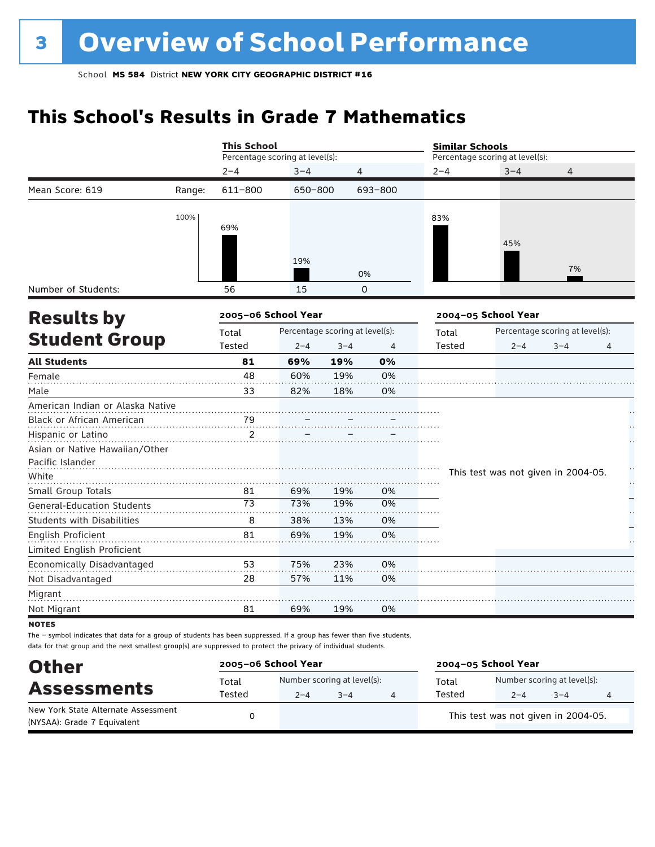## **This School's Results in Grade 7 Mathematics**

|                                   |        | <b>This School</b>              |         |                                 |          | <b>Similar Schools</b> |                                     |                                 |    |
|-----------------------------------|--------|---------------------------------|---------|---------------------------------|----------|------------------------|-------------------------------------|---------------------------------|----|
|                                   |        | Percentage scoring at level(s): |         |                                 |          |                        | Percentage scoring at level(s):     |                                 |    |
|                                   |        | $2 - 4$                         | $3 - 4$ | 4                               |          | $2 - 4$                | $3 - 4$                             | $\overline{4}$                  |    |
| Mean Score: 619                   | Range: | 611-800                         | 650-800 |                                 | 693-800  |                        |                                     |                                 |    |
|                                   | 100%   |                                 |         |                                 |          | 83%                    |                                     |                                 |    |
|                                   |        | 69%                             |         |                                 |          |                        |                                     |                                 |    |
|                                   |        |                                 |         |                                 |          |                        | 45%                                 |                                 |    |
|                                   |        |                                 | 19%     |                                 |          |                        |                                     |                                 |    |
|                                   |        |                                 |         |                                 | 0%       |                        |                                     | 7%                              |    |
| Number of Students:               |        | 56                              | 15      |                                 | $\Omega$ |                        |                                     |                                 |    |
| <b>Results by</b>                 |        | 2005-06 School Year             |         |                                 |          |                        | 2004-05 School Year                 |                                 |    |
|                                   |        | Total                           |         | Percentage scoring at level(s): |          | Total                  |                                     | Percentage scoring at level(s): |    |
| <b>Student Group</b>              |        | Tested                          | $2 - 4$ | $3 - 4$                         | 4        | <b>Tested</b>          | $2 - 4$                             | $3 - 4$                         | 4  |
| <b>All Students</b>               |        | 81                              | 69%     | 19%                             | 0%       |                        |                                     |                                 |    |
| Female                            |        | 48                              | 60%     | 19%                             | 0%       |                        |                                     |                                 |    |
| Male                              |        | 33                              | 82%     | 18%                             | 0%       |                        |                                     |                                 |    |
| American Indian or Alaska Native  |        |                                 |         |                                 |          |                        |                                     |                                 |    |
| Black or African American         |        | 79                              |         |                                 |          |                        |                                     |                                 |    |
| Hispanic or Latino                |        | 2                               |         |                                 |          |                        |                                     |                                 |    |
| Asian or Native Hawaiian/Other    |        |                                 |         |                                 |          |                        |                                     |                                 |    |
| Pacific Islander                  |        |                                 |         |                                 |          |                        |                                     |                                 | H  |
| White                             |        |                                 |         |                                 |          |                        | This test was not given in 2004-05. |                                 | μ, |
| Small Group Totals                |        | 81                              | 69%     | 19%                             | 0%       |                        |                                     |                                 |    |
| <b>General-Education Students</b> |        | 73                              | 73%     | 19%                             | 0%       |                        |                                     |                                 |    |
| <b>Students with Disabilities</b> |        | 8                               | 38%     | 13%                             | 0%       |                        |                                     |                                 |    |
| English Proficient                |        | 81                              | 69%     | 19%                             | 0%       |                        |                                     |                                 |    |
| Limited English Proficient        |        |                                 |         |                                 |          |                        |                                     |                                 |    |
| Economically Disadvantaged        |        | 53                              | 75%     | 23%                             | 0%       |                        |                                     |                                 |    |
| Not Disadvantaged                 |        | 28                              | 57%     | 11%                             | 0%       |                        |                                     |                                 |    |
| Migrant                           |        |                                 |         |                                 |          |                        |                                     |                                 |    |
| Not Migrant                       |        | 81                              | 69%     | 19%                             | 0%       |                        |                                     |                                 |    |
| UATEC                             |        |                                 |         |                                 |          |                        |                                     |                                 |    |

**NOTES** 

| <b>Other</b>                                                       | 2005-06 School Year |         |                                        | 2004-05 School Year |                                        |         |  |  |
|--------------------------------------------------------------------|---------------------|---------|----------------------------------------|---------------------|----------------------------------------|---------|--|--|
| <b>Assessments</b>                                                 | Total<br>Tested     | $2 - 4$ | Number scoring at level(s):<br>$3 - 4$ | Total<br>Tested     | Number scoring at level(s):<br>$2 - 4$ | $3 - 4$ |  |  |
| New York State Alternate Assessment<br>(NYSAA): Grade 7 Equivalent |                     |         |                                        |                     | This test was not given in 2004-05.    |         |  |  |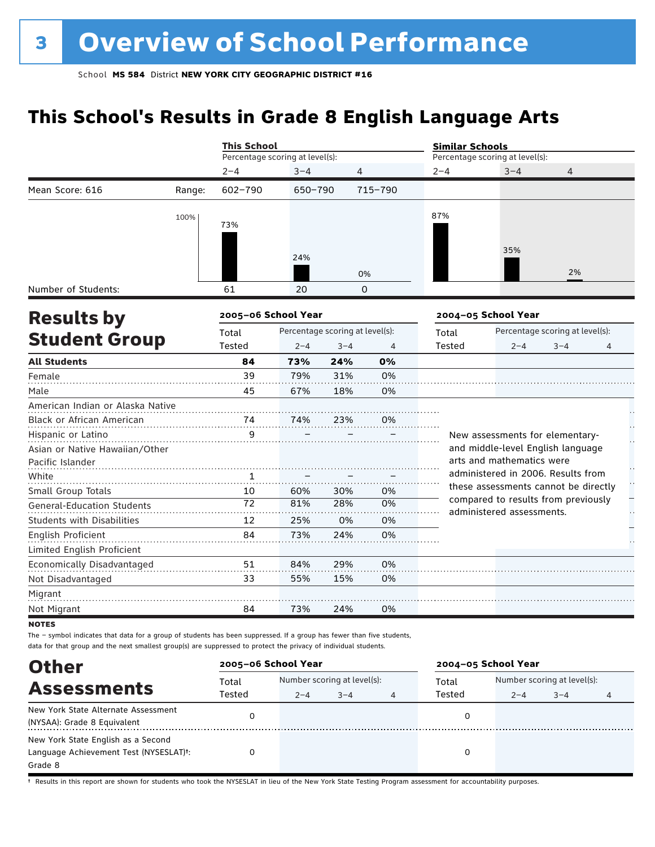## **This School's Results in Grade 8 English Language Arts**

|                                   |        | <b>This School</b>              |                                 |         |                | <b>Similar Schools</b> |                                                                             |                                 |   |
|-----------------------------------|--------|---------------------------------|---------------------------------|---------|----------------|------------------------|-----------------------------------------------------------------------------|---------------------------------|---|
|                                   |        | Percentage scoring at level(s): |                                 |         |                |                        | Percentage scoring at level(s):                                             |                                 |   |
|                                   |        | $2 - 4$                         | $3 - 4$                         |         | 4              | $2 - 4$                | $3 - 4$                                                                     | 4                               |   |
| Mean Score: 616                   | Range: | 602-790                         | 650-790                         |         | 715-790        |                        |                                                                             |                                 |   |
|                                   | 100%   |                                 |                                 |         |                | 87%                    |                                                                             |                                 |   |
|                                   |        | 73%                             |                                 |         |                |                        |                                                                             |                                 |   |
|                                   |        |                                 |                                 |         |                |                        | 35%                                                                         |                                 |   |
|                                   |        |                                 | 24%                             |         |                |                        |                                                                             |                                 |   |
|                                   |        |                                 |                                 |         | 0%             |                        |                                                                             | 2%                              |   |
| Number of Students:               |        | 61                              | 20                              |         | 0              |                        |                                                                             |                                 |   |
| <b>Results by</b>                 |        | 2005-06 School Year             |                                 |         |                |                        | 2004-05 School Year                                                         |                                 |   |
|                                   |        | Total                           | Percentage scoring at level(s): |         |                | Total                  |                                                                             | Percentage scoring at level(s): |   |
| <b>Student Group</b>              |        | Tested                          | $2 - 4$                         | $3 - 4$ | $\overline{4}$ | Tested                 | $2 - 4$                                                                     | $3 - 4$                         | 4 |
| <b>All Students</b>               |        | 84                              | 73%                             | 24%     | 0%             |                        |                                                                             |                                 |   |
| Female                            |        | 39                              | 79%                             | 31%     | 0%             |                        |                                                                             |                                 |   |
| Male                              |        | 45                              | 67%                             | 18%     | 0%             |                        |                                                                             |                                 |   |
| American Indian or Alaska Native  |        |                                 |                                 |         |                |                        |                                                                             |                                 |   |
| Black or African American         |        | 74                              | 74%                             | 23%     | 0%             |                        |                                                                             |                                 |   |
| Hispanic or Latino                |        | 9                               |                                 |         |                |                        | New assessments for elementary-                                             |                                 |   |
| Asian or Native Hawaiian/Other    |        |                                 |                                 |         |                |                        | and middle-level English language                                           |                                 |   |
| Pacific Islander                  |        |                                 |                                 |         |                |                        | arts and mathematics were                                                   |                                 |   |
| White                             |        | 1                               |                                 |         |                |                        | administered in 2006. Results from                                          |                                 |   |
| Small Group Totals                |        | 10                              | 60%                             | 30%     | 0%             |                        | these assessments cannot be directly<br>compared to results from previously |                                 |   |
| <b>General-Education Students</b> |        | 72                              | 81%                             | 28%     | 0%             |                        | administered assessments.                                                   |                                 |   |
| <b>Students with Disabilities</b> |        | 12                              | 25%                             | 0%      | 0%             |                        |                                                                             |                                 |   |
| English Proficient                |        | 84                              | 73%                             | 24%     | 0%             |                        |                                                                             |                                 |   |
| Limited English Proficient        |        |                                 |                                 |         |                |                        |                                                                             |                                 |   |
| Economically Disadvantaged        |        | 51                              | 84%                             | 29%     | 0%             |                        |                                                                             |                                 |   |
| Not Disadvantaged                 |        | 33                              | 55%                             | 15%     | 0%             |                        |                                                                             |                                 |   |
| Migrant                           |        |                                 |                                 |         |                |                        |                                                                             |                                 |   |
| Not Migrant                       |        | 84                              | 73%                             | 24%     | 0%             |                        |                                                                             |                                 |   |
| <b>NOTES</b>                      |        |                                 |                                 |         |                |                        |                                                                             |                                 |   |

The – symbol indicates that data for a group of students has been suppressed. If a group has fewer than five students, data for that group and the next smallest group(s) are suppressed to protect the privacy of individual students.

| <b>Other</b>                                                                            |                 | 2005-06 School Year |                                        |   | 2004-05 School Year |         |                                        |   |  |
|-----------------------------------------------------------------------------------------|-----------------|---------------------|----------------------------------------|---|---------------------|---------|----------------------------------------|---|--|
| <b>Assessments</b>                                                                      | Total<br>Tested | $2 - 4$             | Number scoring at level(s):<br>$3 - 4$ | 4 | Total<br>Tested     | $2 - 4$ | Number scoring at level(s):<br>$3 - 4$ | 4 |  |
| New York State Alternate Assessment<br>(NYSAA): Grade 8 Equivalent                      |                 |                     |                                        |   |                     |         |                                        |   |  |
| New York State English as a Second<br>Language Achievement Test (NYSESLAT)t:<br>Grade 8 |                 |                     |                                        |   |                     |         |                                        |   |  |

† Results in this report are shown for students who took the NYSESLAT in lieu of the New York State Testing Program assessment for accountability purposes.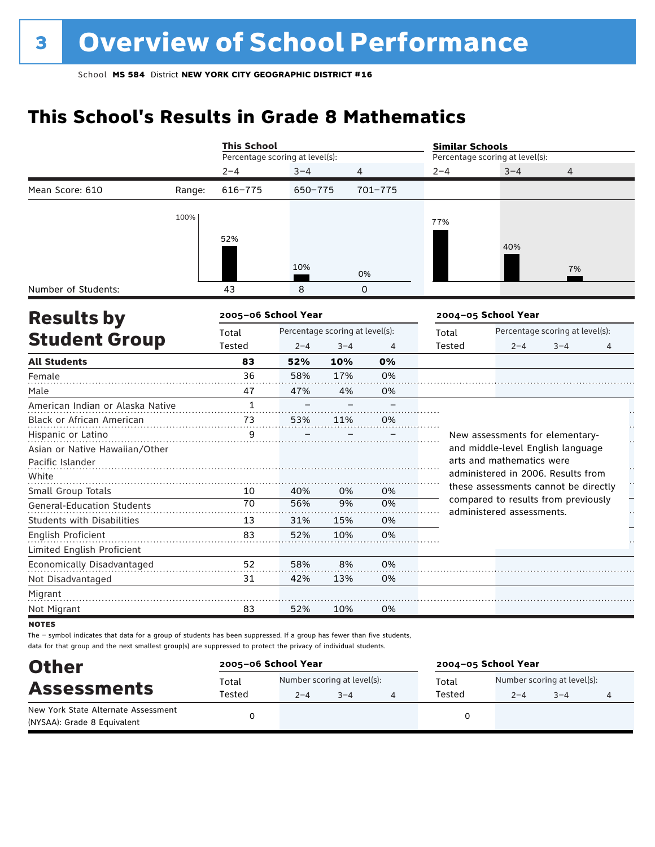## **This School's Results in Grade 8 Mathematics**

|                                   |        | <b>This School</b>                       |         |         |                                          | <b>Similar Schools</b>          |                                                                             |                |                      |  |
|-----------------------------------|--------|------------------------------------------|---------|---------|------------------------------------------|---------------------------------|-----------------------------------------------------------------------------|----------------|----------------------|--|
|                                   |        | Percentage scoring at level(s):          |         |         |                                          | Percentage scoring at level(s): |                                                                             |                |                      |  |
|                                   |        | $2 - 4$                                  | $3 - 4$ | 4       |                                          | $2 - 4$                         | $3 - 4$                                                                     | $\overline{4}$ |                      |  |
| Mean Score: 610                   | Range: | 616-775                                  | 650-775 |         | 701-775                                  |                                 |                                                                             |                |                      |  |
|                                   | 100%   |                                          |         |         |                                          |                                 |                                                                             |                |                      |  |
|                                   |        |                                          |         |         |                                          | 77%                             |                                                                             |                |                      |  |
|                                   |        | 52%                                      |         |         |                                          |                                 | 40%                                                                         |                |                      |  |
|                                   |        |                                          | 10%     |         |                                          |                                 |                                                                             |                |                      |  |
|                                   |        |                                          |         |         | 0%                                       |                                 |                                                                             | 7%             |                      |  |
| Number of Students:               |        | 43                                       | 8       |         | 0                                        |                                 |                                                                             |                |                      |  |
| <b>Results by</b>                 |        | 2005-06 School Year                      |         |         |                                          |                                 | 2004-05 School Year                                                         |                |                      |  |
|                                   |        | Percentage scoring at level(s):<br>Total |         |         | Percentage scoring at level(s):<br>Total |                                 |                                                                             |                |                      |  |
| <b>Student Group</b>              |        | Tested                                   | $2 - 4$ | $3 - 4$ | 4                                        | <b>Tested</b>                   | $2 - 4$                                                                     | $3 - 4$        | 4                    |  |
| <b>All Students</b>               |        | 83                                       | 52%     | 10%     | 0%                                       |                                 |                                                                             |                |                      |  |
| Female                            |        | 36                                       | 58%     | 17%     | 0%                                       |                                 |                                                                             |                |                      |  |
| Male                              |        | 47                                       | 47%     | 4%      | 0%                                       |                                 |                                                                             |                |                      |  |
| American Indian or Alaska Native  |        | $\mathbf{1}$                             |         |         |                                          |                                 |                                                                             |                |                      |  |
| Black or African American         |        | 73                                       | 53%     | 11%     | 0%                                       |                                 |                                                                             |                | Н,                   |  |
| Hispanic or Latino                |        | 9                                        |         |         |                                          |                                 | New assessments for elementary-                                             |                |                      |  |
| Asian or Native Hawaiian/Other    |        |                                          |         |         |                                          |                                 | and middle-level English language                                           |                |                      |  |
| Pacific Islander                  |        |                                          |         |         |                                          |                                 | arts and mathematics were                                                   |                | $\ddot{\phantom{1}}$ |  |
| White                             |        |                                          |         |         |                                          |                                 | administered in 2006. Results from                                          |                | H                    |  |
| Small Group Totals                |        | 10                                       | 40%     | 0%      | 0%                                       |                                 | these assessments cannot be directly<br>compared to results from previously |                |                      |  |
| <b>General-Education Students</b> |        | 70                                       | 56%     | 9%      | 0%                                       |                                 | administered assessments.                                                   |                |                      |  |
| <b>Students with Disabilities</b> |        | 13                                       | 31%     | 15%     | 0%                                       |                                 |                                                                             |                |                      |  |
| English Proficient                |        | 83                                       | 52%     | 10%     | 0%                                       |                                 |                                                                             |                |                      |  |
| Limited English Proficient        |        |                                          |         |         |                                          |                                 |                                                                             |                |                      |  |
| Economically Disadvantaged        |        | 52                                       | 58%     | 8%      | 0%                                       |                                 |                                                                             |                |                      |  |
| Not Disadvantaged                 |        | 31                                       | 42%     | 13%     | 0%                                       |                                 |                                                                             |                |                      |  |
| Migrant                           |        |                                          |         |         |                                          |                                 |                                                                             |                |                      |  |
| Not Migrant                       |        | 83                                       | 52%     | 10%     | 0%                                       |                                 |                                                                             |                |                      |  |
|                                   |        |                                          |         |         |                                          |                                 |                                                                             |                |                      |  |

**NOTES** 

| <b>Other</b>                        | 2005-06 School Year |                             |         | 2004-05 School Year |        |                             |         |   |
|-------------------------------------|---------------------|-----------------------------|---------|---------------------|--------|-----------------------------|---------|---|
|                                     | Total               | Number scoring at level(s): |         |                     | Total  | Number scoring at level(s): |         |   |
| <b>Assessments</b>                  | Tested              | $2 - 4$                     | $3 - 4$ |                     | Tested | $2 - 4$                     | $3 - 4$ | 4 |
| New York State Alternate Assessment |                     |                             |         |                     |        |                             |         |   |
| (NYSAA): Grade 8 Equivalent         |                     |                             |         |                     |        |                             |         |   |